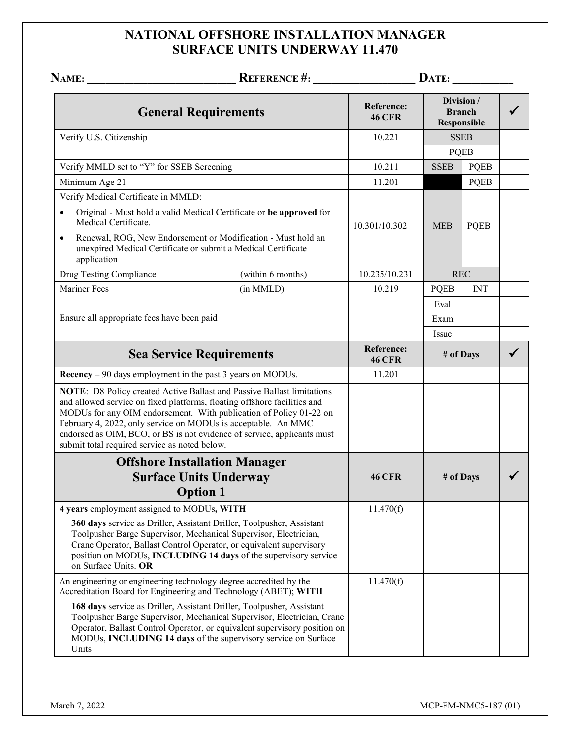## **NATIONAL OFFSHORE INSTALLATION MANAGER SURFACE UNITS UNDERWAY 11.470**

|                                                                   |                                                                                                                                                                                                                                                                                                                                                                      |                                    | $\mathbf{DATE:}\_\_\_\_\_\_\_\_\_\_\_\_\_$        |             |  |
|-------------------------------------------------------------------|----------------------------------------------------------------------------------------------------------------------------------------------------------------------------------------------------------------------------------------------------------------------------------------------------------------------------------------------------------------------|------------------------------------|---------------------------------------------------|-------------|--|
|                                                                   | <b>General Requirements</b>                                                                                                                                                                                                                                                                                                                                          | <b>Reference:</b><br><b>46 CFR</b> | Division /<br><b>Branch</b><br><b>Responsible</b> |             |  |
| Verify U.S. Citizenship                                           |                                                                                                                                                                                                                                                                                                                                                                      | 10.221                             | <b>SSEB</b>                                       |             |  |
|                                                                   |                                                                                                                                                                                                                                                                                                                                                                      |                                    |                                                   | <b>PQEB</b> |  |
| Verify MMLD set to "Y" for SSEB Screening                         |                                                                                                                                                                                                                                                                                                                                                                      | 10.211                             | <b>SSEB</b>                                       | <b>PQEB</b> |  |
| Minimum Age 21                                                    |                                                                                                                                                                                                                                                                                                                                                                      | 11.201                             |                                                   | <b>PQEB</b> |  |
| Verify Medical Certificate in MMLD:                               |                                                                                                                                                                                                                                                                                                                                                                      |                                    |                                                   |             |  |
| Medical Certificate.                                              | Original - Must hold a valid Medical Certificate or be approved for                                                                                                                                                                                                                                                                                                  | 10.301/10.302                      | <b>MEB</b>                                        | <b>PQEB</b> |  |
| $\bullet$<br>application                                          | Renewal, ROG, New Endorsement or Modification - Must hold an<br>unexpired Medical Certificate or submit a Medical Certificate                                                                                                                                                                                                                                        |                                    |                                                   |             |  |
| Drug Testing Compliance                                           | (within 6 months)                                                                                                                                                                                                                                                                                                                                                    | 10.235/10.231                      |                                                   | <b>REC</b>  |  |
| <b>Mariner Fees</b>                                               | (in MMLD)                                                                                                                                                                                                                                                                                                                                                            | 10.219                             | <b>PQEB</b>                                       | <b>INT</b>  |  |
|                                                                   |                                                                                                                                                                                                                                                                                                                                                                      |                                    | Eval                                              |             |  |
| Ensure all appropriate fees have been paid                        |                                                                                                                                                                                                                                                                                                                                                                      |                                    | Exam                                              |             |  |
|                                                                   |                                                                                                                                                                                                                                                                                                                                                                      |                                    | Issue                                             |             |  |
| <b>Sea Service Requirements</b>                                   |                                                                                                                                                                                                                                                                                                                                                                      | <b>Reference:</b><br><b>46 CFR</b> | # of Days                                         |             |  |
| Recency - 90 days employment in the past 3 years on MODUs.        |                                                                                                                                                                                                                                                                                                                                                                      | 11.201                             |                                                   |             |  |
| submit total required service as noted below.                     | NOTE: D8 Policy created Active Ballast and Passive Ballast limitations<br>and allowed service on fixed platforms, floating offshore facilities and<br>MODUs for any OIM endorsement. With publication of Policy 01-22 on<br>February 4, 2022, only service on MODUs is acceptable. An MMC<br>endorsed as OIM, BCO, or BS is not evidence of service, applicants must |                                    |                                                   |             |  |
|                                                                   | <b>Offshore Installation Manager</b>                                                                                                                                                                                                                                                                                                                                 |                                    |                                                   |             |  |
|                                                                   | <b>Surface Units Underway</b><br><b>Option 1</b>                                                                                                                                                                                                                                                                                                                     | <b>46 CFR</b>                      | # of Days                                         |             |  |
| 4 years employment assigned to MODUs, WITH                        |                                                                                                                                                                                                                                                                                                                                                                      | 11.470(f)                          |                                                   |             |  |
| on Surface Units. OR                                              | 360 days service as Driller, Assistant Driller, Toolpusher, Assistant<br>Toolpusher Barge Supervisor, Mechanical Supervisor, Electrician,<br>Crane Operator, Ballast Control Operator, or equivalent supervisory<br>position on MODUs, INCLUDING 14 days of the supervisory service                                                                                  |                                    |                                                   |             |  |
| An engineering or engineering technology degree accredited by the | Accreditation Board for Engineering and Technology (ABET); WITH                                                                                                                                                                                                                                                                                                      | 11.470(f)                          |                                                   |             |  |
| Units                                                             | 168 days service as Driller, Assistant Driller, Toolpusher, Assistant<br>Toolpusher Barge Supervisor, Mechanical Supervisor, Electrician, Crane<br>Operator, Ballast Control Operator, or equivalent supervisory position on<br>MODUs, INCLUDING 14 days of the supervisory service on Surface                                                                       |                                    |                                                   |             |  |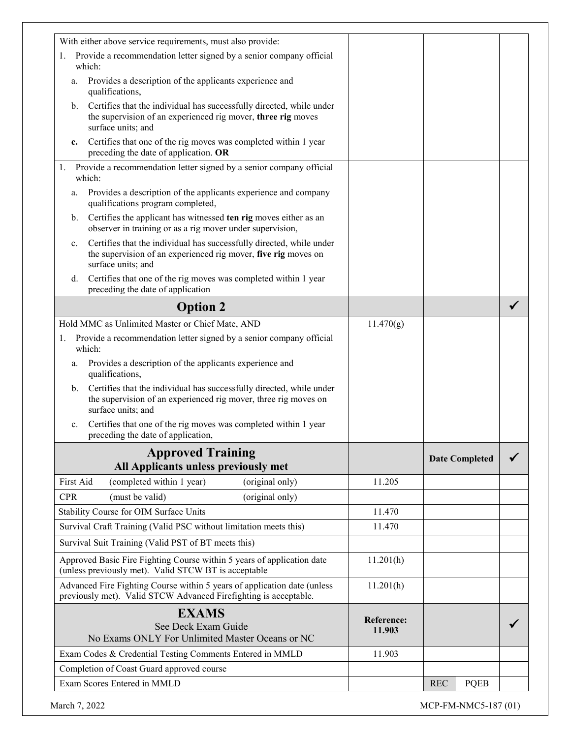| With either above service requirements, must also provide:                                                                                                                   |                      |                           |  |
|------------------------------------------------------------------------------------------------------------------------------------------------------------------------------|----------------------|---------------------------|--|
| 1. Provide a recommendation letter signed by a senior company official                                                                                                       |                      |                           |  |
| which:                                                                                                                                                                       |                      |                           |  |
| Provides a description of the applicants experience and<br>a.<br>qualifications,                                                                                             |                      |                           |  |
| Certifies that the individual has successfully directed, while under<br>$\mathbf{b}$ .<br>the supervision of an experienced rig mover, three rig moves<br>surface units; and |                      |                           |  |
| Certifies that one of the rig moves was completed within 1 year<br>c.<br>preceding the date of application. OR                                                               |                      |                           |  |
| Provide a recommendation letter signed by a senior company official<br>1.<br>which:                                                                                          |                      |                           |  |
| Provides a description of the applicants experience and company<br>a.<br>qualifications program completed,                                                                   |                      |                           |  |
| Certifies the applicant has witnessed ten rig moves either as an<br>b.<br>observer in training or as a rig mover under supervision,                                          |                      |                           |  |
| Certifies that the individual has successfully directed, while under<br>c.<br>the supervision of an experienced rig mover, five rig moves on<br>surface units; and           |                      |                           |  |
| Certifies that one of the rig moves was completed within 1 year<br>d.<br>preceding the date of application                                                                   |                      |                           |  |
| <b>Option 2</b>                                                                                                                                                              |                      |                           |  |
| Hold MMC as Unlimited Master or Chief Mate, AND                                                                                                                              | 11.470(g)            |                           |  |
| 1. Provide a recommendation letter signed by a senior company official<br>which:                                                                                             |                      |                           |  |
| Provides a description of the applicants experience and<br>a.<br>qualifications,                                                                                             |                      |                           |  |
| Certifies that the individual has successfully directed, while under<br>b.<br>the supervision of an experienced rig mover, three rig moves on<br>surface units; and          |                      |                           |  |
| Certifies that one of the rig moves was completed within 1 year<br>c.<br>preceding the date of application,                                                                  |                      |                           |  |
| <b>Approved Training</b><br>All Applicants unless previously met                                                                                                             |                      | <b>Date Completed</b>     |  |
| First Aid<br>(completed within 1 year)<br>(original only)                                                                                                                    | 11.205               |                           |  |
| (must be valid)<br><b>CPR</b><br>(original only)                                                                                                                             |                      |                           |  |
| Stability Course for OIM Surface Units                                                                                                                                       | 11.470               |                           |  |
| Survival Craft Training (Valid PSC without limitation meets this)                                                                                                            | 11.470               |                           |  |
| Survival Suit Training (Valid PST of BT meets this)                                                                                                                          |                      |                           |  |
| Approved Basic Fire Fighting Course within 5 years of application date<br>(unless previously met). Valid STCW BT is acceptable                                               | 11.201(h)            |                           |  |
| Advanced Fire Fighting Course within 5 years of application date (unless<br>previously met). Valid STCW Advanced Firefighting is acceptable.                                 | 11.201(h)            |                           |  |
| <b>EXAMS</b>                                                                                                                                                                 |                      |                           |  |
| See Deck Exam Guide<br>No Exams ONLY For Unlimited Master Oceans or NC                                                                                                       | Reference:<br>11.903 |                           |  |
| Exam Codes & Credential Testing Comments Entered in MMLD                                                                                                                     | 11.903               |                           |  |
| Completion of Coast Guard approved course                                                                                                                                    |                      |                           |  |
| Exam Scores Entered in MMLD                                                                                                                                                  |                      | <b>PQEB</b><br><b>REC</b> |  |
|                                                                                                                                                                              |                      |                           |  |

March 7, 2022 MCP-FM-NMC5-187 (01)